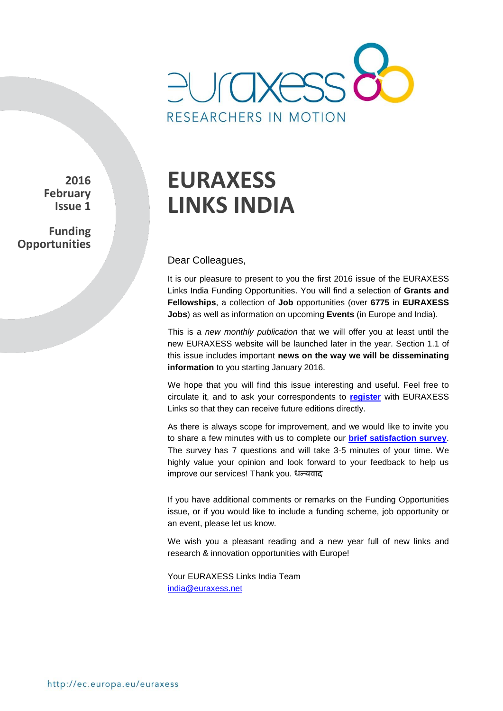

**2016 February Issue 1**

**Funding Opportunities**

# **EURAXESS LINKS INDIA**

Dear Colleagues,

It is our pleasure to present to you the first 2016 issue of the EURAXESS Links India Funding Opportunities. You will find a selection of **Grants and Fellowships**, a collection of **Job** opportunities (over **6775** in **EURAXESS Jobs**) as well as information on upcoming **Events** (in Europe and India).

This is a *new monthly publication* that we will offer you at least until the new EURAXESS website will be launched later in the year. Section 1.1 of this issue includes important **news on the way we will be disseminating information** to you starting January 2016.

We hope that you will find this issue interesting and useful. Feel free to circulate it, and to ask your correspondents to **[register](http://europa.eu/sinapse/directaccess/euraxess-links-india/join)** with EURAXESS Links so that they can receive future editions directly.

As there is always scope for improvement, and we would like to invite you to share a few minutes with us to complete our **[brief satisfaction survey](https://secure.pt-dlr.de/pt-survey/index.php?sid=34413&lang=en)**. The survey has 7 questions and will take 3-5 minutes of your time. We highly value your opinion and look forward to your feedback to help us improve our services! Thank you. धन्यवाद

If you have additional comments or remarks on the Funding Opportunities issue, or if you would like to include a funding scheme, job opportunity or an event, please let us know.

We wish you a pleasant reading and a new year full of new links and research & innovation opportunities with Europe!

Your EURAXESS Links India Team india@euraxess.net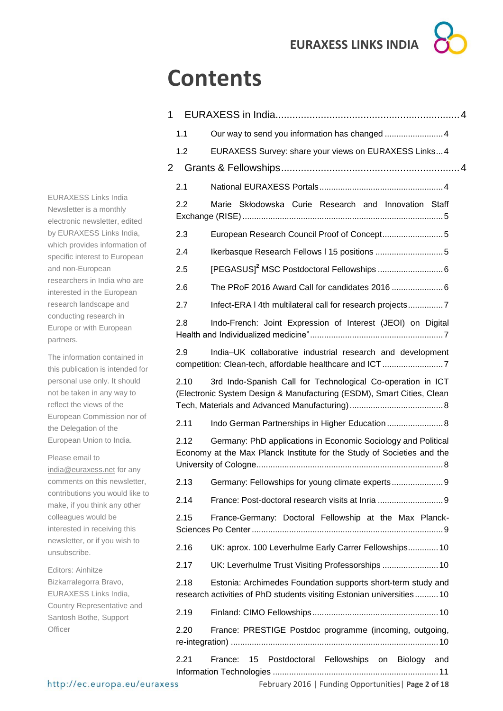# **Contents**

| 1              |                                                                                                                                         |  |  |  |
|----------------|-----------------------------------------------------------------------------------------------------------------------------------------|--|--|--|
| 1.1            |                                                                                                                                         |  |  |  |
| 1.2            | EURAXESS Survey: share your views on EURAXESS Links4                                                                                    |  |  |  |
| $\overline{2}$ |                                                                                                                                         |  |  |  |
| 2.1            |                                                                                                                                         |  |  |  |
| 2.2            | Marie Skłodowska Curie Research and Innovation Staff                                                                                    |  |  |  |
| 2.3            |                                                                                                                                         |  |  |  |
| 2.4            | Ikerbasque Research Fellows I 15 positions 5                                                                                            |  |  |  |
| 2.5            |                                                                                                                                         |  |  |  |
| 2.6            |                                                                                                                                         |  |  |  |
| 2.7            | Infect-ERA I 4th multilateral call for research projects                                                                                |  |  |  |
| 2.8            | Indo-French: Joint Expression of Interest (JEOI) on Digital                                                                             |  |  |  |
| 2.9            | India-UK collaborative industrial research and development                                                                              |  |  |  |
| 2.10           | 3rd Indo-Spanish Call for Technological Co-operation in ICT<br>(Electronic System Design & Manufacturing (ESDM), Smart Cities, Clean    |  |  |  |
| 2.11           | Indo German Partnerships in Higher Education  8                                                                                         |  |  |  |
| 2.12           | Germany: PhD applications in Economic Sociology and Political<br>Economy at the Max Planck Institute for the Study of Societies and the |  |  |  |
| 2.13           | Germany: Fellowships for young climate experts<br>9                                                                                     |  |  |  |
| 2.14           | France: Post-doctoral research visits at Inria  9                                                                                       |  |  |  |
| 2.15           | France-Germany: Doctoral Fellowship at the Max Planck-                                                                                  |  |  |  |
| 2.16           | UK: aprox. 100 Leverhulme Early Carrer Fellowships 10                                                                                   |  |  |  |
| 2.17           | UK: Leverhulme Trust Visiting Professorships  10                                                                                        |  |  |  |
| 2.18           | Estonia: Archimedes Foundation supports short-term study and<br>research activities of PhD students visiting Estonian universities10    |  |  |  |
| 2.19           |                                                                                                                                         |  |  |  |
| 2.20           | France: PRESTIGE Postdoc programme (incoming, outgoing,                                                                                 |  |  |  |
| 2.21           | Postdoctoral Fellowships on Biology<br>15<br>France:<br>and                                                                             |  |  |  |

EURAXESS Links India Newsletter is a monthly electronic newsletter, edited by EURAXESS Links India, which provides information of specific interest to European and non-European researchers in India who are interested in the European research landscape and conducting research in Europe or with European partners.

The information contained in this publication is intended for personal use only. It should not be taken in any way to reflect the views of the European Commission nor of the Delegation of the European Union to India.

Please email to [india@euraxess.net](mailto:india@euraxess.net) for any comments on this newsletter, contributions you would like to make, if you think any other colleagues would be interested in receiving this newsletter, or if you wish to

Editors: Ainhitze Bizkarralegorra Bravo, EURAXESS Links India, Country Representative and Santosh Bothe, Support **Officer** 

unsubscribe.

February 2016 | Funding Opportunities| **Page 2 of 18**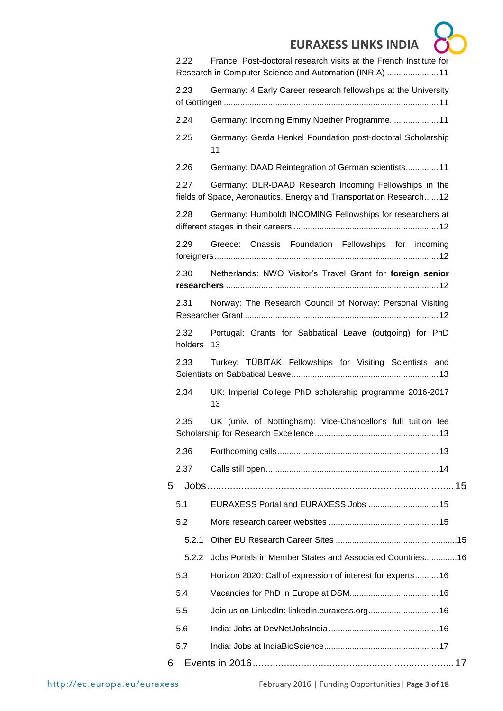|   |                 | <b>EURAXESS LINKS INDIA</b>                                                                                                  |  |
|---|-----------------|------------------------------------------------------------------------------------------------------------------------------|--|
|   | 2.22            | France: Post-doctoral research visits at the French Institute for<br>Research in Computer Science and Automation (INRIA)  11 |  |
|   | 2.23            | Germany: 4 Early Career research fellowships at the University                                                               |  |
|   | 2.24            | Germany: Incoming Emmy Noether Programme.  11                                                                                |  |
|   | 2.25            | Germany: Gerda Henkel Foundation post-doctoral Scholarship<br>11                                                             |  |
|   | 2.26            | Germany: DAAD Reintegration of German scientists 11                                                                          |  |
|   | 2.27            | Germany: DLR-DAAD Research Incoming Fellowships in the<br>fields of Space, Aeronautics, Energy and Transportation Research12 |  |
|   | 2.28            | Germany: Humboldt INCOMING Fellowships for researchers at                                                                    |  |
|   | 2.29            | Greece: Onassis Foundation Fellowships for incoming                                                                          |  |
|   | 2.30            | Netherlands: NWO Visitor's Travel Grant for foreign senior                                                                   |  |
|   | 2.31            | Norway: The Research Council of Norway: Personal Visiting                                                                    |  |
|   | 2.32<br>holders | Portugal: Grants for Sabbatical Leave (outgoing) for PhD<br>-13                                                              |  |
|   | 2.33            | Turkey: TÜBITAK Fellowships for Visiting Scientists and                                                                      |  |
|   | 2.34            | UK: Imperial College PhD scholarship programme 2016-2017<br>13                                                               |  |
|   | 2.35            | UK (univ. of Nottingham): Vice-Chancellor's full tuition fee                                                                 |  |
|   | 2.36            |                                                                                                                              |  |
|   | 2.37            |                                                                                                                              |  |
| 5 |                 |                                                                                                                              |  |
|   | 5.1             | EURAXESS Portal and EURAXESS Jobs  15                                                                                        |  |
|   | 5.2             |                                                                                                                              |  |
|   | 5.2.1           |                                                                                                                              |  |
|   | 5.2.2           | Jobs Portals in Member States and Associated Countries16                                                                     |  |
|   | 5.3             | Horizon 2020: Call of expression of interest for experts 16                                                                  |  |
|   | 5.4             |                                                                                                                              |  |
|   | 5.5             | Join us on LinkedIn: linkedin.euraxess.org 16                                                                                |  |
|   | 5.6             |                                                                                                                              |  |
|   | 5.7             |                                                                                                                              |  |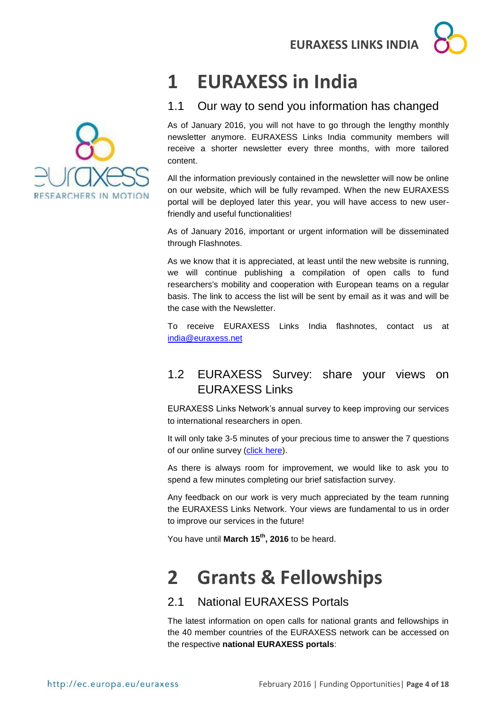# <span id="page-3-0"></span>**1 EURAXESS in India**

# <span id="page-3-1"></span>1.1 Our way to send you information has changed

As of January 2016, you will not have to go through the lengthy monthly newsletter anymore. EURAXESS Links India community members will receive a shorter newsletter every three months, with more tailored content.

All the information previously contained in the newsletter will now be online on our website, which will be fully revamped. When the new EURAXESS portal will be deployed later this year, you will have access to new userfriendly and useful functionalities!

As of January 2016, important or urgent information will be disseminated through Flashnotes.

As we know that it is appreciated, at least until the new website is running, we will continue publishing a compilation of open calls to fund researchers's mobility and cooperation with European teams on a regular basis. The link to access the list will be sent by email as it was and will be the case with the Newsletter.

To receive EURAXESS Links India flashnotes, contact us at [india@euraxess.net](mailto:india@euraxess.net)

# <span id="page-3-2"></span>1.2 EURAXESS Survey: share your views on EURAXESS Links

EURAXESS Links Network's annual survey to keep improving our services to international researchers in open.

It will only take 3-5 minutes of your precious time to answer the 7 questions of our online survey [\(click here\)](https://secure.pt-dlr.de/pt-survey/index.php?sid=34413&lang=en).

As there is always room for improvement, we would like to ask you to spend a few minutes completing our brief satisfaction survey.

Any feedback on our work is very much appreciated by the team running the EURAXESS Links Network. Your views are fundamental to us in order to improve our services in the future!

You have until **March 15th , 2016** to be heard.

# <span id="page-3-3"></span>**2 Grants & Fellowships**

# <span id="page-3-4"></span>2.1 National EURAXESS Portals

The latest information on open calls for national grants and fellowships in the 40 member countries of the EURAXESS network can be accessed on the respective **national EURAXESS portals**:

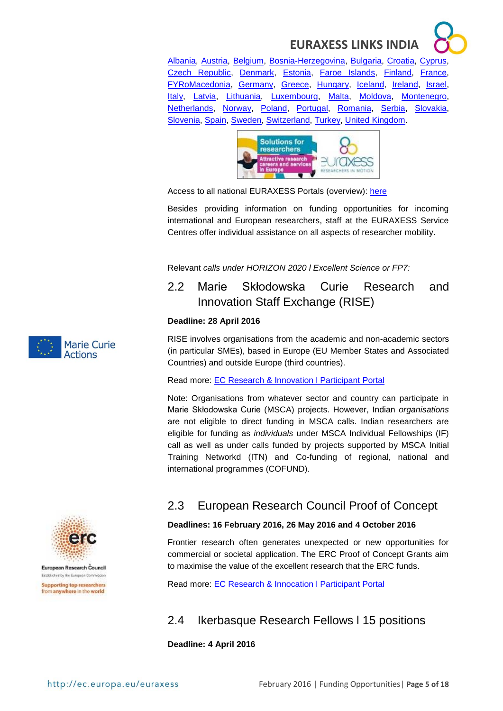[Albania,](http://www.euraxess.al/) [Austria,](http://www.euraxess.at/home/) [Belgium,](http://ec.europa.eu/euraxess/np/belgium/index.htm) [Bosnia-Herzegovina,](http://www.euraxess.ba/index.php?sec=22) [Bulgaria,](http://www.euraxess.bg/) [Croatia,](http://www.euraxess.hr/sitegenius/index.php) [Cyprus,](http://www.euraxess.org.cy/) [Czech Republic,](http://www.euraxess.cz/) [Denmark,](http://euraxess.dk/) [Estonia,](http://euraxess.ee/) [Faroe Islands,](http://www.euraxess.fo/index.php?id=3) [Finland,](http://www.aka.fi/euraxess) [France,](http://www.euraxess.fr/en) [FYRoMacedonia,](http://www.euraxess.mk/home) [Germany,](http://www.euraxess.de/index.php) [Greece,](http://mobility.certh.gr/pls/rmp/mobility.main) [Hungary,](http://euraxess.hu/en) [Iceland,](http://www.euraxess.is/home/) [Ireland,](http://www.euraxess.ie/) [Israel,](http://www.euraxess.gov.il/UI/Main/Home.aspx) [Italy,](http://www.euraxess.it/) [Latvia,](http://euraxess.lv/) [Lithuania,](http://www.euraxess.lt/) [Luxembourg,](http://www.euraxess.lu/) [Malta,](http://www.euraxess.org.mt/) [Moldova,](http://www.euraxess.md/en) [Montenegro,](http://www.euraxess.me/sitegenius/index.php) [Netherlands,](http://www.euraxess.nl/) [Norway,](http://www.euraxess.no/servlet/Satellite?c=Page&pagename=euraxess%2FHovedsidemal&cid=1224067050882) [Poland,](http://www.euraxess.pl/) [Portugal,](http://www.euraxess.pt/) [Romania,](http://www.euraxess.gov.ro/indexEN.html) [Serbia,](http://www.euraxess.rs/sitegenius/index.php) [Slovakia,](http://www.euraxess.sk/en) [Slovenia,](http://www.euraxess.si/en/index.aspx) [Spain,](http://www.euraxess.es/eng) [Sweden,](http://www.euraxess.se/) [Switzerland,](http://www.euraxess.ch/) [Turkey,](http://euraxess.tubitak.gov.tr/euraxess/) [United Kingdom.](http://www.britishcouncil.org/new/euraxess/)



Access to all national EURAXESS Portals (overview): [here](http://ec.europa.eu/euraxess/index.cfm/jobs/nationalPortals)

Besides providing information on funding opportunities for incoming international and European researchers, staff at the EURAXESS Service Centres offer individual assistance on all aspects of researcher mobility.

Relevant *calls under HORIZON 2020 l Excellent Science or FP7:* 

# <span id="page-4-0"></span>2.2 Marie Skłodowska Curie Research and Innovation Staff Exchange (RISE)

#### **Deadline: 28 April 2016**

RISE involves organisations from the academic and non-academic sectors (in particular SMEs), based in Europe (EU Member States and Associated Countries) and outside Europe (third countries).

Read more: **EC Research & Innovation I Participant Portal** 

Note: Organisations from whatever sector and country can participate in Marie Skłodowska Curie (MSCA) projects. However, Indian *organisations* are not eligible to direct funding in MSCA calls. Indian researchers are eligible for funding as *individuals* under MSCA Individual Fellowships (IF) call as well as under calls funded by projects supported by MSCA Initial Training Networkd (ITN) and Co-funding of regional, national and international programmes (COFUND).



European Research Council Established by the European Commission **Supporting top researchers** from anywhere in the world

# <span id="page-4-1"></span>2.3 European Research Council Proof of Concept

#### **Deadlines: 16 February 2016, 26 May 2016 and 4 October 2016**

Frontier research often generates unexpected or new opportunities for commercial or societal application. The ERC Proof of Concept Grants aim to maximise the value of the excellent research that the ERC funds.

Read more: [EC Research & Innocation l Participant Portal](http://ec.europa.eu/research/participants/portal/desktop/en/opportunities/h2020/topics/1116-erc-poc-2016.html)

# <span id="page-4-2"></span>2.4 Ikerbasque Research Fellows l 15 positions

**Deadline: 4 April 2016**

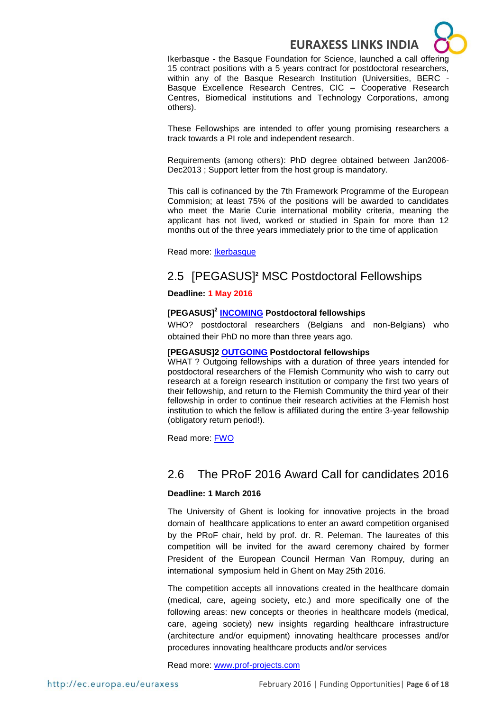

Ikerbasque - the Basque Foundation for Science, launched a call offering 15 contract positions with a 5 years contract for postdoctoral researchers, within any of the Basque Research Institution (Universities, BERC - Basque Excellence Research Centres, CIC – Cooperative Research Centres, Biomedical institutions and Technology Corporations, among others).

These Fellowships are intended to offer young promising researchers a track towards a PI role and independent research.

Requirements (among others): PhD degree obtained between Jan2006- Dec2013 ; Support letter from the host group is mandatory.

This call is cofinanced by the 7th Framework Programme of the European Commision; at least 75% of the positions will be awarded to candidates who meet the Marie Curie international mobility criteria, meaning the applicant has not lived, worked or studied in Spain for more than 12 months out of the three years immediately prior to the time of application

Read more: [Ikerbasque](http://www.ikerbasque.net/)

# <span id="page-5-0"></span>2.5 [PEGASUS]**<sup>2</sup>** MSC Postdoctoral Fellowships

#### **Deadline: 1 May 2016**

#### **[PEGASUS]<sup>2</sup> [INCOMING](http://www.fwo.be/en/fellowships-funding/postdoctoral-fellowships/%5Bpegasus%5D%C2%B2-marie-sk%C5%82odowska-curie-fellowships/incoming-%5Bpegasus%5D%C2%B2-marie-sk%C5%82odowska-curie-fellowships/) Postdoctoral fellowships**

WHO? postdoctoral researchers (Belgians and non-Belgians) who obtained their PhD no more than three years ago.

#### **[PEGASUS]2 [OUTGOING](http://www.fwo.be/en/fellowships-funding/postdoctoral-fellowships/%5Bpegasus%5D%C2%B2-marie-sk%C5%82odowska-curie-fellowships/outgoing-%5Bpegasus%5D%C2%B2-marie-sk%C5%82odowska-curie-fellowships/) Postdoctoral fellowships**

WHAT ? Outgoing fellowships with a duration of three years intended for postdoctoral researchers of the Flemish Community who wish to carry out research at a foreign research institution or company the first two years of their fellowship, and return to the Flemish Community the third year of their fellowship in order to continue their research activities at the Flemish host institution to which the fellow is affiliated during the entire 3-year fellowship (obligatory return period!).

Read more: [FWO](http://www.fwo.be/en/fellowships-funding/postdoctoral-fellowships/%5Bpegasus%5D%C2%B2-marie-sk%C5%82odowska-curie-fellowships/)

#### <span id="page-5-1"></span>2.6 The PRoF 2016 Award Call for candidates 2016

#### **Deadline: 1 March 2016**

The University of Ghent is looking for innovative projects in the broad domain of healthcare applications to enter an award competition organised by the PRoF chair, held by prof. dr. R. Peleman. The laureates of this competition will be invited for the award ceremony chaired by former President of the European Council Herman Van Rompuy, during an international symposium held in Ghent on May 25th 2016.

The competition accepts all innovations created in the healthcare domain (medical, care, ageing society, etc.) and more specifically one of the following areas: new concepts or theories in healthcare models (medical, care, ageing society) new insights regarding healthcare infrastructure (architecture and/or equipment) innovating healthcare processes and/or procedures innovating healthcare products and/or services

Read more: <www.prof-projects.com>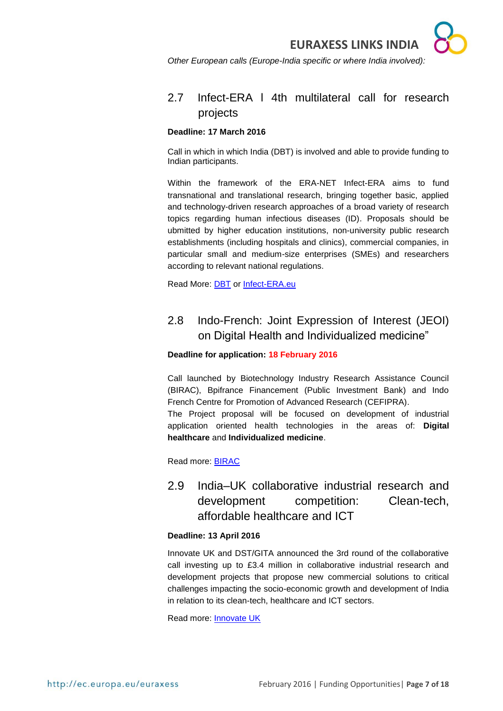*Other European calls (Europe-India specific or where India involved):* 

## <span id="page-6-0"></span>2.7 Infect-ERA l 4th multilateral call for research projects

#### **Deadline: 17 March 2016**

Call in which in which India (DBT) is involved and able to provide funding to Indian participants.

Within the framework of the ERA-NET Infect-ERA aims to fund transnational and translational research, bringing together basic, applied and technology-driven research approaches of a broad variety of research topics regarding human infectious diseases (ID). Proposals should be ubmitted by higher education institutions, non-university public research establishments (including hospitals and clinics), commercial companies, in particular small and medium-size enterprises (SMEs) and researchers according to relevant national regulations.

Read More: [DBT](http://www.dbtindia.nic.in/archives/8153) or [Infect-ERA.eu](http://www.infect-era.eu/4th-call-2016)

# <span id="page-6-1"></span>2.8 Indo-French: Joint Expression of Interest (JEOI) on Digital Health and Individualized medicine"

#### **Deadline for application: 18 February 2016**

Call launched by Biotechnology Industry Research Assistance Council (BIRAC), Bpifrance Financement (Public Investment Bank) and Indo French Centre for Promotion of Advanced Research (CEFIPRA).

The Project proposal will be focused on development of industrial application oriented health technologies in the areas of: **Digital healthcare** and **Individualized medicine**.

Read more: [BIRAC](http://birac.nic.in/desc_new.php?id=155)

<span id="page-6-2"></span>2.9 India–UK collaborative industrial research and development competition: Clean-tech, affordable healthcare and ICT

#### **Deadline: 13 April 2016**

Innovate UK and DST/GITA announced the 3rd round of the collaborative call investing up to £3.4 million in collaborative industrial research and development projects that propose new commercial solutions to critical challenges impacting the socio-economic growth and development of India in relation to its clean-tech, healthcare and ICT sectors.

Read more: [Innovate UK](https://interact.innovateuk.org/competition-display-page/-/asset_publisher/RqEt2AKmEBhi/content/india%E2%80%93uk-collaborative-industrial-research-and-development-competition-clean-tech-affordable-healthcare-and-ict)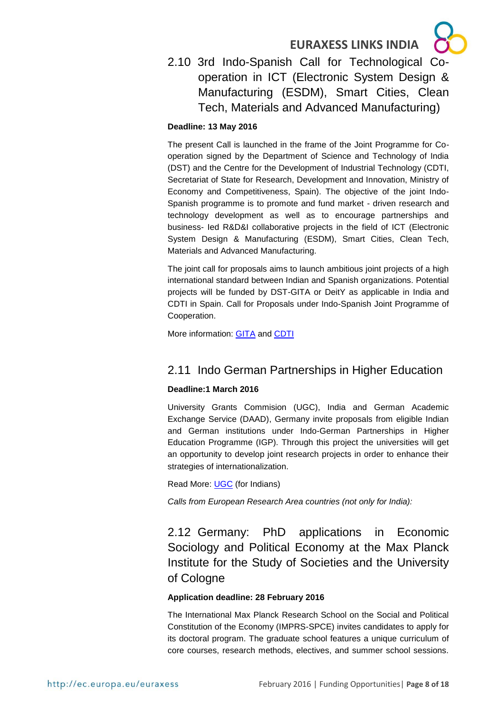

<span id="page-7-0"></span>2.10 3rd Indo-Spanish Call for Technological Cooperation in ICT (Electronic System Design & Manufacturing (ESDM), Smart Cities, Clean Tech, Materials and Advanced Manufacturing)

#### **Deadline: 13 May 2016**

The present Call is launched in the frame of the Joint Programme for Cooperation signed by the Department of Science and Technology of India (DST) and the Centre for the Development of Industrial Technology (CDTI, Secretariat of State for Research, Development and Innovation, Ministry of Economy and Competitiveness, Spain). The objective of the joint Indo-Spanish programme is to promote and fund market - driven research and technology development as well as to encourage partnerships and business- Ied R&D&I collaborative projects in the field of ICT (Electronic System Design & Manufacturing (ESDM), Smart Cities, Clean Tech, Materials and Advanced Manufacturing.

The joint call for proposals aims to launch ambitious joint projects of a high international standard between Indian and Spanish organizations. Potential projects will be funded by DST-GITA or DeitY as applicable in India and CDTI in Spain. Call for Proposals under Indo-Spanish Joint Programme of Cooperation.

More information: **GITA** and **CDTI** 

### <span id="page-7-1"></span>2.11 Indo German Partnerships in Higher Education

#### **Deadline:1 March 2016**

University Grants Commision (UGC), India and German Academic Exchange Service (DAAD), Germany invite proposals from eligible Indian and German institutions under Indo-German Partnerships in Higher Education Programme (IGP). Through this project the universities will get an opportunity to develop joint research projects in order to enhance their strategies of internationalization.

Read More: [UGC](http://www.ugc.ac.in/pdfnews/9547361_Indo-German-Higher-Education_Programme.pdf) (for Indians)

*Calls from European Research Area countries (not only for India):* 

<span id="page-7-2"></span>2.12 Germany: PhD applications in Economic Sociology and Political Economy at the Max Planck Institute for the Study of Societies and the University of Cologne

#### **Application deadline: 28 February 2016**

The International Max Planck Research School on the Social and Political Constitution of the Economy (IMPRS-SPCE) invites candidates to apply for its doctoral program. The graduate school features a unique curriculum of core courses, research methods, electives, and summer school sessions.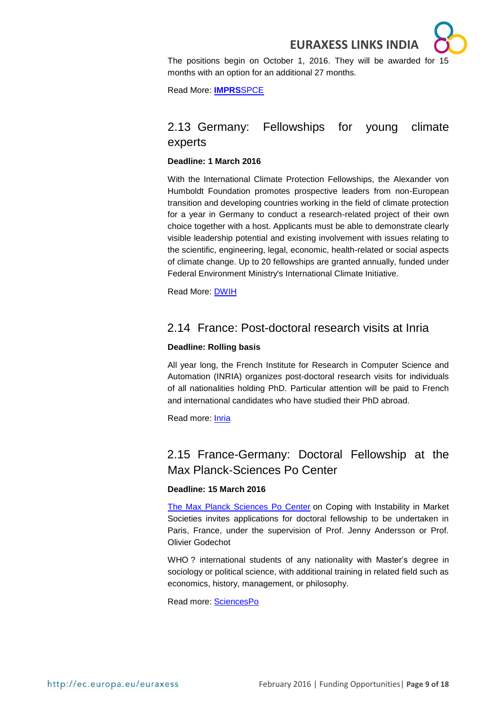The positions begin on October 1, 2016. They will be awarded for 15 months with an option for an additional 27 months.

Read More: **[IMPRS](http://imprs.mpifg.de/)**SPCE

## <span id="page-8-0"></span>2.13 Germany: Fellowships for young climate experts

#### **Deadline: 1 March 2016**

With the International Climate Protection Fellowships, the Alexander von Humboldt Foundation promotes prospective leaders from non-European transition and developing countries working in the field of climate protection for a year in Germany to conduct a research-related project of their own choice together with a host. Applicants must be able to demonstrate clearly visible leadership potential and existing involvement with issues relating to the scientific, engineering, legal, economic, health-related or social aspects of climate change. Up to 20 fellowships are granted annually, funded under Federal Environment Ministry's International Climate Initiative.

Read More: [DWIH](International%20Climate%20Protection%20Fellowships)

#### <span id="page-8-1"></span>2.14 France: Post-doctoral research visits at Inria

#### **Deadline: Rolling basis**

All year long, the French Institute for Research in Computer Science and Automation (INRIA) organizes post-doctoral research visits for individuals of all nationalities holding PhD. Particular attention will be paid to French and international candidates who have studied their PhD abroad.

Read more: [Inria](http://www.inria.fr/institut/recrutement-metiers/offres/post-doctorat/sejours-post-doctoraux)

# <span id="page-8-2"></span>2.15 France-Germany: Doctoral Fellowship at the Max Planck-Sciences Po Center

#### **Deadline: 15 March 2016**

[The Max Planck Sciences Po Center](http://www.maxpo.eu/) on Coping with Instability in Market Societies invites applications for doctoral fellowship to be undertaken in Paris, France, under the supervision of Prof. Jenny Andersson or Prof. Olivier Godechot

WHO ? international students of any nationality with Master's degree in sociology or political science, with additional training in related field such as economics, history, management, or philosophy.

Read more: [SciencesPo](http://www.sciencespo.fr/ecole-doctorale/fr/content/call-applications)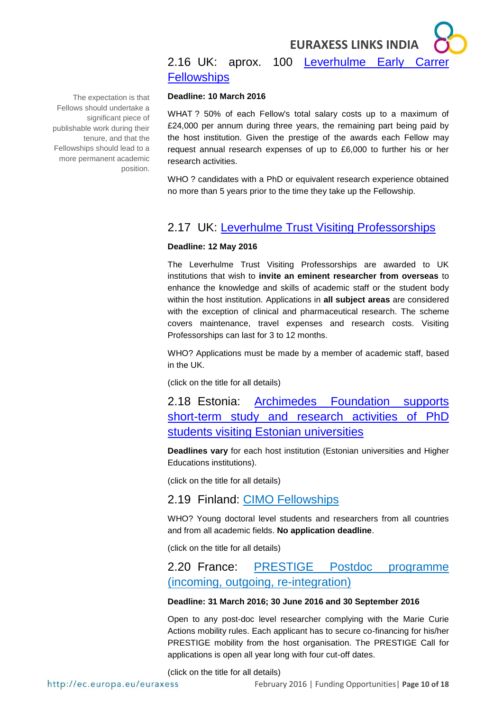## <span id="page-9-0"></span>2.16 UK: aprox. 100 [Leverhulme Early Carrer](https://www.leverhulme.ac.uk/funding/grant-schemes/early-career-fellowships)  **[Fellowships](https://www.leverhulme.ac.uk/funding/grant-schemes/early-career-fellowships)**

#### **Deadline: 10 March 2016**

WHAT ? 50% of each Fellow's total salary costs up to a maximum of £24,000 per annum during three years, the remaining part being paid by the host institution. Given the prestige of the awards each Fellow may request annual research expenses of up to £6,000 to further his or her research activities.

WHO ? candidates with a PhD or equivalent research experience obtained no more than 5 years prior to the time they take up the Fellowship.

#### <span id="page-9-1"></span>2.17 UK: [Leverhulme Trust Visiting Professorships](https://www.leverhulme.ac.uk/funding/grant-schemes/visiting-professorships)

#### **Deadline: 12 May 2016**

The Leverhulme Trust Visiting Professorships are awarded to UK institutions that wish to **invite an eminent researcher from overseas** to enhance the knowledge and skills of academic staff or the student body within the host institution. Applications in **all subject areas** are considered with the exception of clinical and pharmaceutical research. The scheme covers maintenance, travel expenses and research costs. Visiting Professorships can last for 3 to 12 months.

WHO? Applications must be made by a member of academic staff, based in the UK.

(click on the title for all details)

<span id="page-9-2"></span>2.18 Estonia: [Archimedes Foundation supports](http://www.studyinestonia.ee/scholarships-researchers)  [short-term study and research activities of PhD](http://www.studyinestonia.ee/scholarships-researchers)  [students visiting Estonian universities](http://www.studyinestonia.ee/scholarships-researchers)

**Deadlines vary** for each host institution (Estonian universities and Higher Educations institutions).

(click on the title for all details)

#### <span id="page-9-3"></span>2.19 Finland: [CIMO Fellowships](http://www.studyinfinland.fi/tuition_and_scholarships/cimo_scholarships/cimo_fellowships)

WHO? Young doctoral level students and researchers from all countries and from all academic fields. **No application deadline**.

(click on the title for all details)

## <span id="page-9-4"></span>2.20 France: [PRESTIGE Postdoc programme](http://www.campusfrance.org/en/prestige) (incoming, outgoing, re-integration)

#### **Deadline: 31 March 2016; 30 June 2016 and 30 September 2016**

Open to any post-doc level researcher complying with the Marie Curie Actions mobility rules. Each applicant has to secure co-financing for his/her PRESTIGE mobility from the host organisation. The PRESTIGE Call for applications is open all year long with four cut-off dates.

(click on the title for all details)

The expectation is that Fellows should undertake a significant piece of publishable work during their tenure, and that the Fellowships should lead to a more permanent academic position.

http://ec.europa.eu/euraxess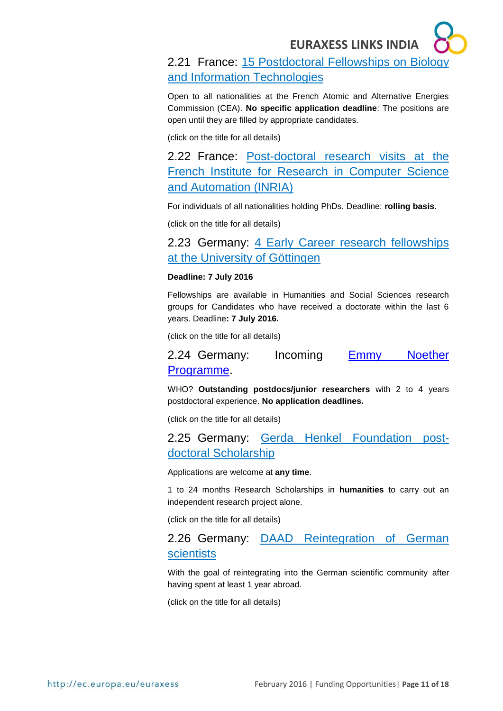# <span id="page-10-0"></span>2.21 France: [15 Postdoctoral Fellowships on Biology](http://en.drt-cea.com/index.php/default/default/affichepage?sujet=Offre_DSV-DRT)  [and Information Technologies](http://en.drt-cea.com/index.php/default/default/affichepage?sujet=Offre_DSV-DRT)

Open to all nationalities at the French Atomic and Alternative Energies Commission (CEA). **No specific application deadline**: The positions are open until they are filled by appropriate candidates.

(click on the title for all details)

<span id="page-10-1"></span>2.22 France: [Post-doctoral research visits at the](http://www.inria.fr/institut/recrutement-metiers/offres/post-doctorat/sejours-post-doctoraux)  [French Institute for Research in Computer Science](http://www.inria.fr/institut/recrutement-metiers/offres/post-doctorat/sejours-post-doctoraux)  [and Automation \(INRIA\)](http://www.inria.fr/institut/recrutement-metiers/offres/post-doctorat/sejours-post-doctoraux)

For individuals of all nationalities holding PhDs. Deadline: **rolling basis**.

(click on the title for all details)

### <span id="page-10-2"></span>2.23 Germany: 4 Early Career research fellowships [at the University of Göttingen](http://www.uni-goettingen.de/en/501529.html)

#### **Deadline: 7 July 2016**

Fellowships are available in Humanities and Social Sciences research groups for Candidates who have received a doctorate within the last 6 years. Deadline**: 7 July 2016.**

(click on the title for all details)

<span id="page-10-3"></span>2.24 Germany: Incoming [Emmy Noether](http://www.dfg.de/en/research_funding/programmes/individual/emmy_noether/index.html)  [Programme.](http://www.dfg.de/en/research_funding/programmes/individual/emmy_noether/index.html)

WHO? **Outstanding postdocs/junior researchers** with 2 to 4 years postdoctoral experience. **No application deadlines.**

(click on the title for all details)

<span id="page-10-4"></span>2.25 Germany: [Gerda Henkel Foundation](https://www.daad.de/deutschland/stipendium/datenbank/en/21148-scholarship-database/?status=5&origin=9&subjectGrps=&daad=&q=&page=2&detail=10000130) postdoctoral Scholarship

Applications are welcome at **any time**.

1 to 24 months Research Scholarships in **humanities** to carry out an independent research project alone.

(click on the title for all details)

### <span id="page-10-5"></span>2.26 Germany: [DAAD Reintegration of German](https://www.daad.de/ausland/studieren/stipendium/de/70-stipendien-finden-und-bewerben/?detailid=880&fachrichtung=6&land=48&status=3&seite=1)  **[scientists](https://www.daad.de/ausland/studieren/stipendium/de/70-stipendien-finden-und-bewerben/?detailid=880&fachrichtung=6&land=48&status=3&seite=1)**

With the goal of reintegrating into the German scientific community after having spent at least 1 year abroad.

(click on the title for all details)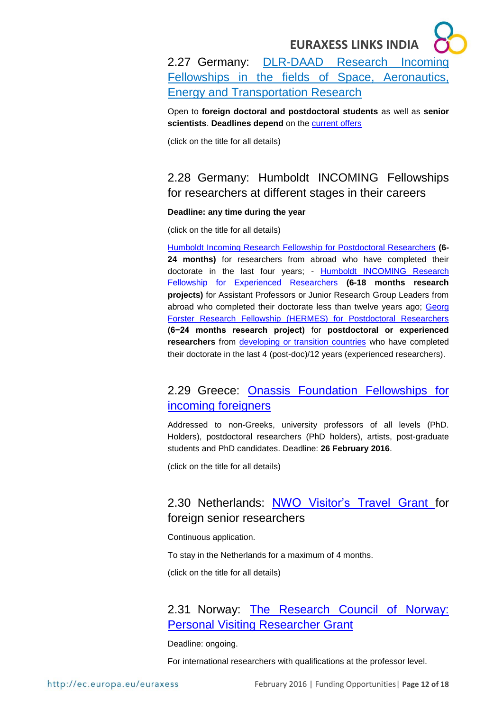<span id="page-11-0"></span>2.27 Germany: [DLR-DAAD Research Incoming](https://www.daad.de/deutschland/stipendium/datenbank/de/15370-dlr-daad-research-fellowships-in-the-fields-of-space-aeronautics-energy-and-transportation-research/)  [Fellowships](https://www.daad.de/deutschland/stipendium/datenbank/de/15370-dlr-daad-research-fellowships-in-the-fields-of-space-aeronautics-energy-and-transportation-research/) in the fields of Space, Aeronautics, Energy and Transportation Research

Open to **foreign doctoral and postdoctoral students** as well as **senior scientists**. **Deadlines depend** on the [current offers](https://www.daad.de/deutschland/stipendium/datenbank/de/15371-dlr-daad-research-fellowships-current-offers/)

(click on the title for all details)

# <span id="page-11-1"></span>2.28 Germany: Humboldt INCOMING Fellowships for researchers at different stages in their careers

#### **Deadline: any time during the year**

(click on the title for all details)

[Humboldt Incoming Research Fellowship for Postdoctoral Researchers](http://www.humboldt-foundation.de/web/humboldt-fellowship-postdoc.html) **(6- 24 months)** for researchers from abroad who have completed their doctorate in the last four years; - [Humboldt INCOMING Research](http://www.humboldt-foundation.de/web/humboldt-fellowship-experienced.html)  [Fellowship for Experienced Researchers](http://www.humboldt-foundation.de/web/humboldt-fellowship-experienced.html) **(6-18 months research projects)** for Assistant Professors or Junior Research Group Leaders from abroad who completed their doctorate less than twelve years ago; Georg [Forster Research Fellowship \(HERMES\) for Postdoctoral Researchers](http://www.humboldt-foundation.de/web/georg-forster-fellowship-hermes.html) **(6−24 months research project)** for **postdoctoral or experienced**  researchers from [developing or transition countries](http://www.humboldt-foundation.de/pls/web/docs/F15417/list_of_countries.pdf) who have completed their doctorate in the last 4 (post-doc)/12 years (experienced researchers).

# <span id="page-11-2"></span>2.29 Greece: [Onassis Foundation Fellowships for](http://www.onassis.org/en/scholarships-foreigners.php)  [incoming foreigners](http://www.onassis.org/en/scholarships-foreigners.php)

Addressed to non-Greeks, university professors of all levels (PhD. Holders), postdoctoral researchers (PhD holders), artists, post-graduate students and PhD candidates. Deadline: **26 February 2016**.

(click on the title for all details)

# <span id="page-11-3"></span>2.30 Netherlands: [NWO Visitor's Travel Grant](http://www.nwo.nl/en/funding/our-funding-instruments/nwo/visitors-travel-grant/visitors-travel-grant.html) for foreign senior researchers

Continuous application.

To stay in the Netherlands for a maximum of 4 months.

(click on the title for all details)

### <span id="page-11-4"></span>2.31 Norway: [The Research Council of Norway:](http://www.forskningsradet.no/en/FundingDetail/NANO2021/1253994844675?aktId=1253994832178&lang=en&progId=1253971755975&visAktive=true)  [Personal Visiting Researcher Grant](http://www.forskningsradet.no/en/FundingDetail/NANO2021/1253994844675?aktId=1253994832178&lang=en&progId=1253971755975&visAktive=true)

Deadline: ongoing.

For international researchers with qualifications at the professor level.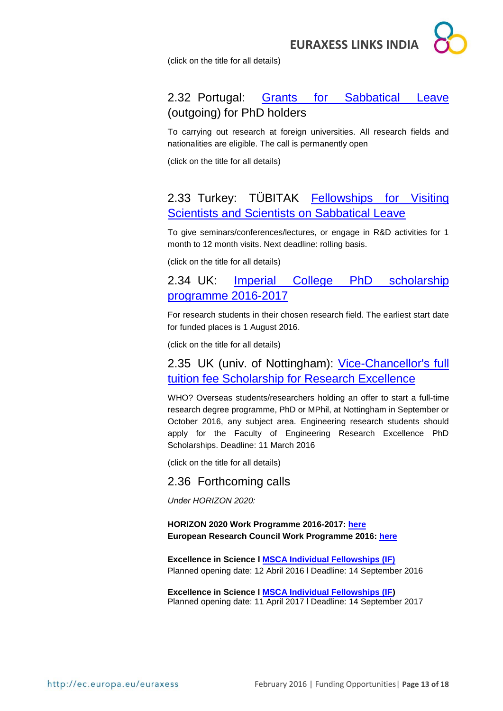

(click on the title for all details)

# <span id="page-12-0"></span>2.32 Portugal: [Grants for Sabbatical Leave](http://www.fct.pt/apoios/bolsas/concursos/bsab) (outgoing) for PhD holders

To carrying out research at foreign universities. All research fields and nationalities are eligible. The call is permanently open

(click on the title for all details)

# <span id="page-12-1"></span>2.33 Turkey: TÜBITAK [Fellowships for Visiting](http://www.tubitak.gov.tr/en/scholarship/postdoctoral/international-programmes/content-2221-fellowships-for-visiting-scientists-and-scientists-on-sabbatical-leave)  [Scientists and Scientists on Sabbatical Leave](http://www.tubitak.gov.tr/en/scholarship/postdoctoral/international-programmes/content-2221-fellowships-for-visiting-scientists-and-scientists-on-sabbatical-leave)

To give seminars/conferences/lectures, or engage in R&D activities for 1 month to 12 month visits. Next deadline: rolling basis.

(click on the title for all details)

#### <span id="page-12-2"></span>2.34 UK: [Imperial College PhD scholarship](http://www.imperial.ac.uk/study/pg/fees-and-funding/scholarships/icphd/)  [programme 2016-2017](http://www.imperial.ac.uk/study/pg/fees-and-funding/scholarships/icphd/)

For research students in their chosen research field. The earliest start date for funded places is 1 August 2016.

(click on the title for all details)

#### <span id="page-12-3"></span>2.35 UK (univ. of Nottingham): [Vice-Chancellor's full](http://www.nottingham.ac.uk/studywithus/international-applicants/scholarships-fees-and-finance/scholarships/research-scholarships/research-overseas.aspx)  [tuition fee Scholarship for Research Excellence](http://www.nottingham.ac.uk/studywithus/international-applicants/scholarships-fees-and-finance/scholarships/research-scholarships/research-overseas.aspx)

WHO? Overseas students/researchers holding an offer to start a full-time research degree programme, PhD or MPhil, at Nottingham in September or October 2016, any subject area. Engineering research students should apply for the Faculty of Engineering Research Excellence PhD Scholarships. Deadline: 11 March 2016

(click on the title for all details)

#### <span id="page-12-4"></span>2.36 Forthcoming calls

*Under HORIZON 2020:*

#### **HORIZON 2020 Work Programme 2016-2017: [here](http://ec.europa.eu/programmes/horizon2020/en/news/horizon-2020-work-programme-2016-2017-published) European Research Council Work Programme 2016: [here](http://erc.europa.eu/sites/default/files/document/file/ERC_Work_Programme_2016.pdf)**

**Excellence in Science l [MSCA Individual Fellowships \(IF\)](https://ec.europa.eu/research/participants/portal/desktop/en/opportunities/h2020/topics/2226-msca-if-2016.html)** Planned opening date: 12 Abril 2016 l Deadline: 14 September 2016

**Excellence in Science l [MSCA Individual Fellowships \(IF\)](http://ec.europa.eu/research/participants/portal/desktop/en/opportunities/h2020/topics/2311-msca-rise_2017.html)** Planned opening date: 11 April 2017 l Deadline: 14 September 2017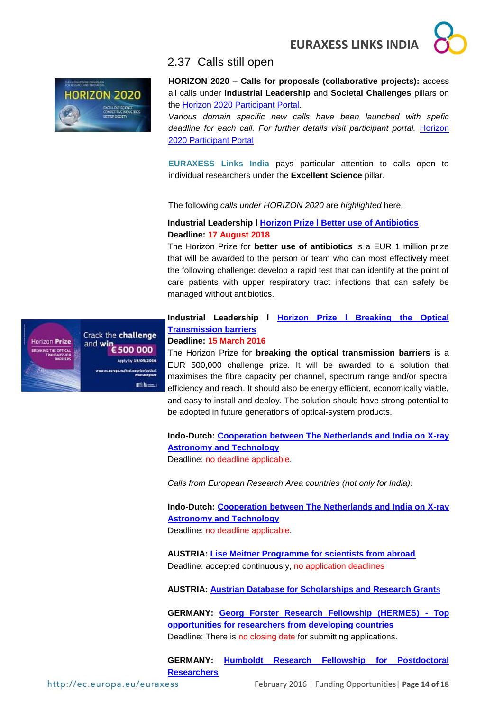

<span id="page-13-0"></span>



**HORIZON 2020 – Calls for proposals (collaborative projects):** access all calls under **Industrial Leadership** and **Societal Challenges** pillars on the [Horizon 2020 Participant Portal.](http://ec.europa.eu/research/participants/portal/desktop/en/opportunities/h2020)

*Various domain specific new calls have been launched with spefic deadline for each call. For further details visit participant portal.* [Horizon](http://ec.europa.eu/research/participants/portal/desktop/en/opportunities/h2020)  [2020 Participant Portal](http://ec.europa.eu/research/participants/portal/desktop/en/opportunities/h2020)

**EURAXESS Links India** pays particular attention to calls open to individual researchers under the **Excellent Science** pillar.

The following *calls under HORIZON 2020* are *highlighted* here:

#### **Industrial Leadership l [Horizon Prize l Better use of Antibiotics](http://ec.europa.eu/research/participants/portal/desktop/en/opportunities/h2020/topics/14060-hoa-01-2015.html#tab1) Deadline: 17 August 2018**

The Horizon Prize for **better use of antibiotics** is a EUR 1 million prize that will be awarded to the person or team who can most effectively meet the following challenge: develop a rapid test that can identify at the point of care patients with upper respiratory tract infections that can safely be managed without antibiotics.



**Industrial Leadership l [Horizon Prize l Breaking the Optical](https://ec.europa.eu/research/participants/portal/desktop/en/opportunities/h2020/topics/16084-opticalprize-01-2015.html#tab1)  [Transmission barriers](https://ec.europa.eu/research/participants/portal/desktop/en/opportunities/h2020/topics/16084-opticalprize-01-2015.html#tab1)**

# **Deadline: 15 March 2016**

The Horizon Prize for **breaking the optical transmission barriers** is a EUR 500,000 challenge prize. It will be awarded to a solution that maximises the fibre capacity per channel, spectrum range and/or spectral efficiency and reach. It should also be energy efficient, economically viable, and easy to install and deploy. The solution should have strong potential to be adopted in future generations of optical-system products.

**Indo-Dutch: [Cooperation between The Netherlands and India on X-ray](http://www.nwo.nl/en/funding/our-funding-instruments/ew/cooperation-india-x-ray-astronomy-and-technology/cooperation-india-x-ray-astronomy-and-technology.html)  [Astronomy and Technology](http://www.nwo.nl/en/funding/our-funding-instruments/ew/cooperation-india-x-ray-astronomy-and-technology/cooperation-india-x-ray-astronomy-and-technology.html)**

Deadline: no deadline applicable.

*Calls from European Research Area countries (not only for India):* 

**Indo-Dutch: [Cooperation between The Netherlands and India on X-ray](http://www.nwo.nl/en/funding/our-funding-instruments/ew/cooperation-india-x-ray-astronomy-and-technology/cooperation-india-x-ray-astronomy-and-technology.html)  [Astronomy and Technology](http://www.nwo.nl/en/funding/our-funding-instruments/ew/cooperation-india-x-ray-astronomy-and-technology/cooperation-india-x-ray-astronomy-and-technology.html)** Deadline: no deadline applicable.

**AUSTRIA: [Lise Meitner Programme for scientists from abroad](https://www.fwf.ac.at/en/research-funding/fwf-programmes/meitner-programme/)** Deadline: accepted continuously, no application deadlines

**AUSTRIA: [Austrian Database for Scholarships and Research Grant](http://www.grants.at/home/EN/)**s

**GERMANY: [Georg Forster Research Fellowship \(HERMES\) -](http://www.humboldt-foundation.de/web/georg-forster-fellowship-hermes.html) Top [opportunities for researchers from developing countries](http://www.humboldt-foundation.de/web/georg-forster-fellowship-hermes.html)** Deadline: There is no closing date for submitting applications.

**GERMANY: [Humboldt Research Fellowship for Postdoctoral](http://www.humboldt-foundation.de/web/humboldt-fellowship-postdoc.html)  [Researchers](http://www.humboldt-foundation.de/web/humboldt-fellowship-postdoc.html)**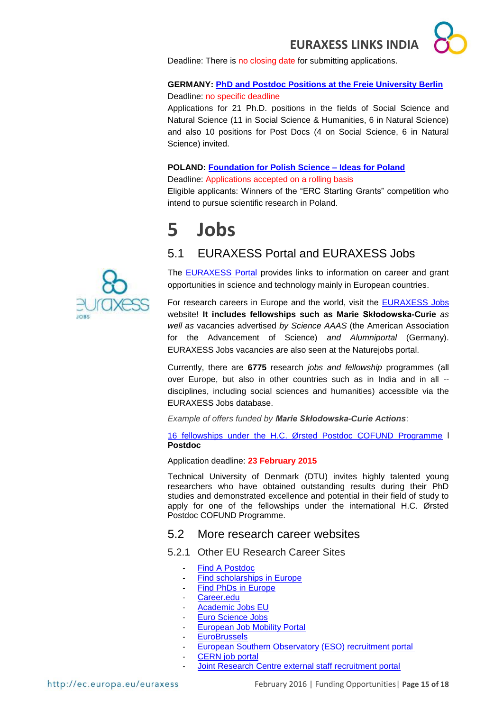Deadline: There is no closing date for submitting applications.

#### **GERMANY: [PhD and Postdoc Positions at the Freie University Berlin](http://www.fu-berlin.de/en/sites/delhi/)**

Deadline: no specific deadline

Applications for 21 Ph.D. positions in the fields of Social Science and Natural Science (11 in Social Science & Humanities, 6 in Natural Science) and also 10 positions for Post Docs (4 on Social Science, 6 in Natural Science) invited.

#### **POLAND: [Foundation for Polish Science –](http://www.fnp.org.pl/en/oferta/ideas-for-poland/) Ideas for Poland**

Deadline: Applications accepted on a rolling basis

Eligible applicants: Winners of the "ERC Starting Grants" competition who intend to pursue scientific research in Poland.

# <span id="page-14-0"></span>**5 Jobs**

# <span id="page-14-1"></span>5.1 EURAXESS Portal and EURAXESS Jobs

The [EURAXESS Portal](http://ec.europa.eu/euraxess/index.cfm/general/index) provides links to information on career and grant opportunities in science and technology mainly in European countries.

For research careers in Europe and the world, visit the [EURAXESS Jobs](http://ec.europa.eu/euraxess/index.cfm/jobs/jvSearch) website! **It includes fellowships such as Marie Skłodowska-Curie** *as well as* vacancies advertised *by Science AAAS* (the American Association for the Advancement of Science) *and Alumniportal* (Germany). EURAXESS Jobs vacancies are also seen at the Naturejobs portal.

Currently, there are **6775** research *jobs and fellowship* programmes (all over Europe, but also in other countries such as in India and in all - disciplines, including social sciences and humanities) accessible via the EURAXESS Jobs database.

*Example of offers funded by Marie Skłodowska-Curie Actions*:

[16 fellowships under the H.C. Ørsted Postdoc COFUND Programme](http://ec.europa.eu/euraxess/index.cfm/jobs/jobDetails/34050586) l **Postdoc**

Application deadline: **23 February 2015**

Technical University of Denmark (DTU) invites highly talented young researchers who have obtained outstanding results during their PhD studies and demonstrated excellence and potential in their field of study to apply for one of the fellowships under the international H.C. Ørsted Postdoc COFUND Programme.

#### <span id="page-14-2"></span>5.2 More research career websites

<span id="page-14-3"></span>5.2.1 Other EU Research Career Sites

- [Find A Postdoc](http://www.findapostdoc.com/)
	- [Find scholarships in Europe](http://www.scholarshipportal.eu/)
- [Find PhDs in Europe](http://www.phdportal.eu/)
- [Career.edu](http://www.career.edu/index.php)
- [Academic Jobs EU](http://www.academicjobseu.com/)
- [Euro Science Jobs](file://///user.pt-dlr.de/www.eurosciencejobs.com/)
- **[European Job Mobility Portal](http://ec.europa.eu/eures/home.jsp?lang=en)**
- **[EuroBrussels](http://www.eurobrussels.com/)**
- [European Southern Observatory \(ESO\) recruitment portal](https://recruitment.eso.org/)
- [CERN job portal](https://jobs.web.cern.ch/)
	- Joint Research Centre external staff recruitment portal

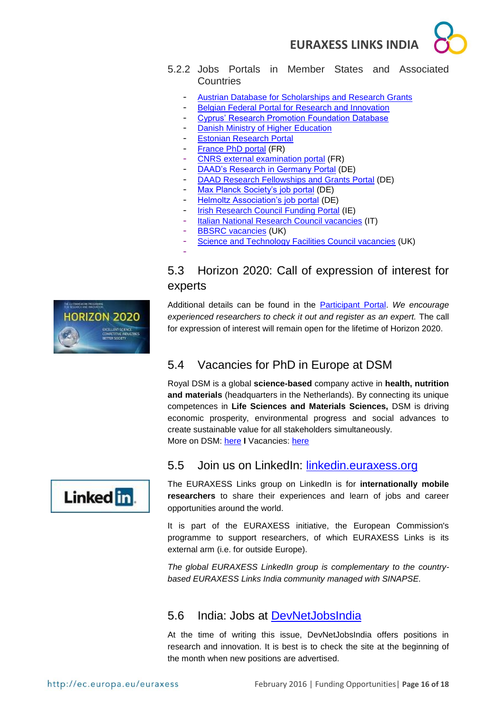



- <span id="page-15-0"></span>5.2.2 Jobs Portals in Member States and Associated **Countries** 
	- [Austrian Database for Scholarships and Research Grants](http://www.grants.at/home/EN/)
	- [Belgian Federal Portal for Research and Innovation](http://www.research.be/ListURL/list.asp?keyid=619&up=9999)
	- [Cyprus' Research Promotion Foundation Database](http://www.research.org.cy/EN/index.html/)
	- **[Danish Ministry of Higher Education](http://ufm.dk/en/research-and-innovation/funding-programmes-for-%20research-and-innovation/guide-to-funding)**
	- [Estonian Research Portal](https://www.etis.ee/index.aspx?lang=en)
	- [France PhD portal](http://www.phdinfrance.net/) (FR)
	- [CNRS external examination portal](http://www.dgdr.cnrs.fr/drhchercheurs/concoursch/default-en.htm) (FR)
	- [DAAD's Research in Germany Portal](http://www.research-in-germany.de/dachportal/en.html) (DE)
	- [DAAD Research Fellowships and Grants Portal](https://www.daad.de/deutschland/stipendium/datenbank/en/21148-%20scholarship-database/) (DE)
	- [Max Planck Society's job portal](http://www.mpg.de/jobboard) (DE)
	- [Helmoltz Association's job portal](http://www.helmholtz.de/en/working_at_helmholtz/job_vacancies/) (DE)
	- [Irish Research Council Funding Portal](http://www.research.ie/funding-opportunities) (IE)
	- [Italian National Research Council vacancies](http://www.eitictlabs.eu/nc/about-us/vacancies/) (IT)
	- [BBSRC vacancies](http://www.bbsrc.ac.uk/organisation/vacancies.aspxh) (UK)

-

[Science and Technology Facilities Council vacancies](http://www.topcareer.jobs/) (UK)

# <span id="page-15-1"></span>5.3 Horizon 2020: Call of expression of interest for experts



Additional details can be found in the [Participant Portal.](http://ec.europa.eu/research/participants/portal/desktop/en/experts/index.html) *We encourage experienced researchers to check it out and register as an expert.* The call for expression of interest will remain open for the lifetime of Horizon 2020.

# <span id="page-15-2"></span>5.4 Vacancies for PhD in Europe at DSM

Royal DSM is a global **science-based** company active in **health, nutrition and materials** (headquarters in the Netherlands). By connecting its unique competences in **Life Sciences and Materials Sciences,** DSM is driving economic prosperity, environmental progress and social advances to create sustainable value for all stakeholders simultaneously. More on DSM: [here](http://www.dsm.com/corporate/home.html) **I** Vacancies: [here](http://www.dsm.com/corporate/careers/vacancies/dsmvacancies.html)



# <span id="page-15-3"></span>5.5 Join us on LinkedIn: [linkedin.euraxess.org](http://www.linkedin.com/groups/EURAXESS-Links-Internationally-Mobile-Researchers-4990889/about)

The EURAXESS Links group on LinkedIn is for **internationally mobile researchers** to share their experiences and learn of jobs and career opportunities around the world.

It is part of the EURAXESS initiative, the European Commission's programme to support researchers, of which EURAXESS Links is its external arm (i.e. for outside Europe).

*The global EURAXESS LinkedIn group is complementary to the countrybased EURAXESS Links India community managed with SINAPSE.*

### <span id="page-15-4"></span>5.6 India: Jobs at [DevNetJobsIndia](http://www.devnetjobsindia.org/)

At the time of writing this issue, DevNetJobsIndia offers positions in research and innovation. It is best is to check the site at the beginning of the month when new positions are advertised.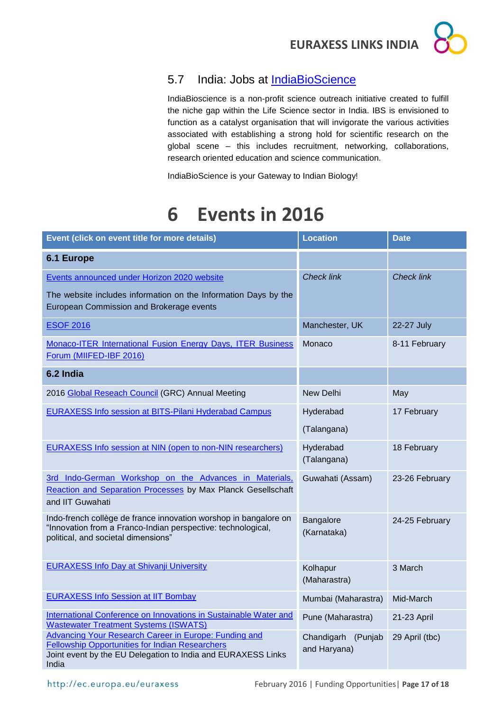

# <span id="page-16-0"></span>5.7 India: Jobs at [IndiaBioScience](http://www.indiabioscience.org/jobs)

IndiaBioscience is a non-profit science outreach initiative created to fulfill the niche gap within the Life Science sector in India. IBS is envisioned to function as a catalyst organisation that will invigorate the various activities associated with establishing a strong hold for scientific research on the global scene – this includes recruitment, networking, collaborations, research oriented education and science communication.

IndiaBioScience is your Gateway to Indian Biology!

# <span id="page-16-1"></span>**6 Events in 2016**

| Event (click on event title for more details)                                                                                                                                            | <b>Location</b>                       | <b>Date</b>       |
|------------------------------------------------------------------------------------------------------------------------------------------------------------------------------------------|---------------------------------------|-------------------|
| 6.1 Europe                                                                                                                                                                               |                                       |                   |
| Events announced under Horizon 2020 website                                                                                                                                              | <b>Check link</b>                     | <b>Check link</b> |
| The website includes information on the Information Days by the<br>European Commission and Brokerage events                                                                              |                                       |                   |
| <b>ESOF 2016</b>                                                                                                                                                                         | Manchester, UK                        | 22-27 July        |
| Monaco-ITER International Fusion Energy Days, ITER Business<br>Forum (MIIFED-IBF 2016)                                                                                                   | Monaco                                | 8-11 February     |
| 6.2 India                                                                                                                                                                                |                                       |                   |
| 2016 Global Reseach Council (GRC) Annual Meeting                                                                                                                                         | New Delhi                             | May               |
| <b>EURAXESS Info session at BITS-Pilani Hyderabad Campus</b>                                                                                                                             | Hyderabad                             | 17 February       |
|                                                                                                                                                                                          | (Talangana)                           |                   |
| EURAXESS Info session at NIN (open to non-NIN researchers)                                                                                                                               | Hyderabad<br>(Talangana)              | 18 February       |
| 3rd Indo-German Workshop on the Advances in Materials,<br>Reaction and Separation Processes by Max Planck Gesellschaft<br>and IIT Guwahati                                               | Guwahati (Assam)                      | 23-26 February    |
| Indo-french collège de france innovation worshop in bangalore on<br>"Innovation from a Franco-Indian perspective: technological,<br>political, and societal dimensions"                  | Bangalore<br>(Karnataka)              | 24-25 February    |
| <b>EURAXESS Info Day at Shivanji University</b>                                                                                                                                          | Kolhapur<br>(Maharastra)              | 3 March           |
| <b>EURAXESS Info Session at IIT Bombay</b>                                                                                                                                               | Mumbai (Maharastra)                   | Mid-March         |
| International Conference on Innovations in Sustainable Water and<br><b>Wastewater Treatment Systems (ISWATS)</b>                                                                         | Pune (Maharastra)                     | 21-23 April       |
| Advancing Your Research Career in Europe: Funding and<br><b>Fellowship Opportunities for Indian Researchers</b><br>Joint event by the EU Delegation to India and EURAXESS Links<br>India | Chandigarh<br>(Punjab<br>and Haryana) | 29 April (tbc)    |